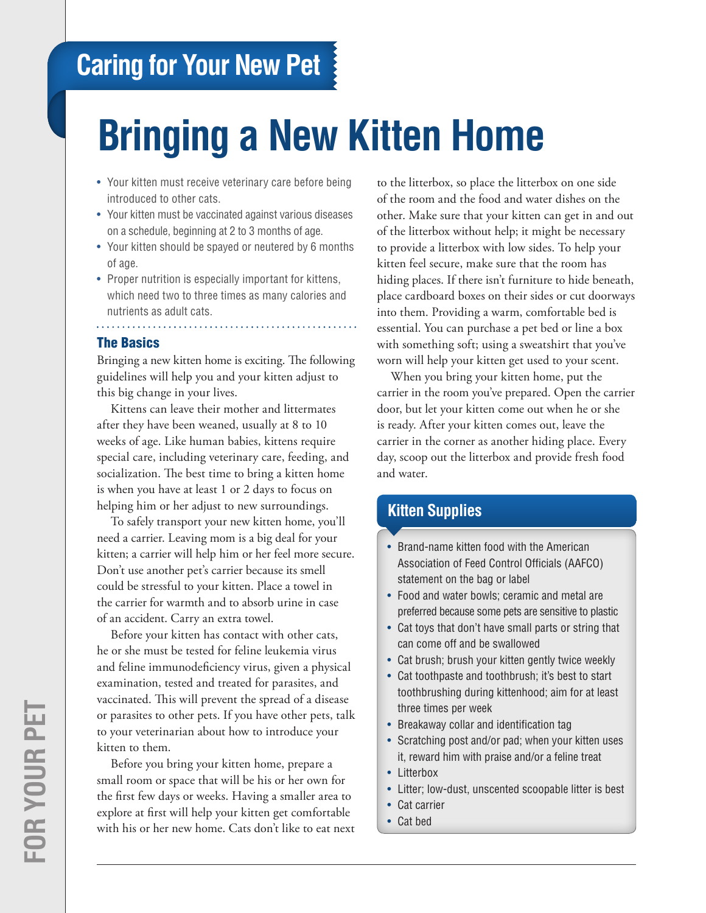# **Caring for Your New Pet**

# **Bringing a New Kitten Home**

- Your kitten must receive veterinary care before being introduced to other cats.
- Your kitten must be vaccinated against various diseases on a schedule, beginning at 2 to 3 months of age.
- Your kitten should be spayed or neutered by 6 months of age.
- Proper nutrition is especially important for kittens, which need two to three times as many calories and nutrients as adult cats.

#### The Basics

Bringing a new kitten home is exciting. The following guidelines will help you and your kitten adjust to this big change in your lives.

Kittens can leave their mother and littermates after they have been weaned, usually at 8 to 10 weeks of age. Like human babies, kittens require special care, including veterinary care, feeding, and socialization. The best time to bring a kitten home is when you have at least 1 or 2 days to focus on helping him or her adjust to new surroundings.

To safely transport your new kitten home, you'll need a carrier. Leaving mom is a big deal for your kitten; a carrier will help him or her feel more secure. Don't use another pet's carrier because its smell could be stressful to your kitten. Place a towel in the carrier for warmth and to absorb urine in case of an accident. Carry an extra towel.

Before your kitten has contact with other cats, he or she must be tested for feline leukemia virus and feline immunodeficiency virus, given a physical examination, tested and treated for parasites, and vaccinated. This will prevent the spread of a disease or parasites to other pets. If you have other pets, talk to your veterinarian about how to introduce your kitten to them.

Before you bring your kitten home, prepare a small room or space that will be his or her own for the first few days or weeks. Having a smaller area to explore at first will help your kitten get comfortable with his or her new home. Cats don't like to eat next to the litterbox, so place the litterbox on one side of the room and the food and water dishes on the other. Make sure that your kitten can get in and out of the litterbox without help; it might be necessary to provide a litterbox with low sides. To help your kitten feel secure, make sure that the room has hiding places. If there isn't furniture to hide beneath, place cardboard boxes on their sides or cut doorways into them. Providing a warm, comfortable bed is essential. You can purchase a pet bed or line a box with something soft; using a sweatshirt that you've worn will help your kitten get used to your scent.

When you bring your kitten home, put the carrier in the room you've prepared. Open the carrier door, but let your kitten come out when he or she is ready. After your kitten comes out, leave the carrier in the corner as another hiding place. Every day, scoop out the litterbox and provide fresh food and water.

# **Kitten Supplies**

- Brand-name kitten food with the American Association of Feed Control Officials (AAFCO) statement on the bag or label
- Food and water bowls; ceramic and metal are preferred because some pets are sensitive to plastic
- Cat toys that don't have small parts or string that can come off and be swallowed
- Cat brush; brush your kitten gently twice weekly
- Cat toothpaste and toothbrush; it's best to start toothbrushing during kittenhood; aim for at least three times per week
- Breakaway collar and identification tag
- Scratching post and/or pad; when your kitten uses it, reward him with praise and/or a feline treat
- Litterbox
- • Litter; low-dust, unscented scoopable litter is best
- Cat carrier
- • Cat bed